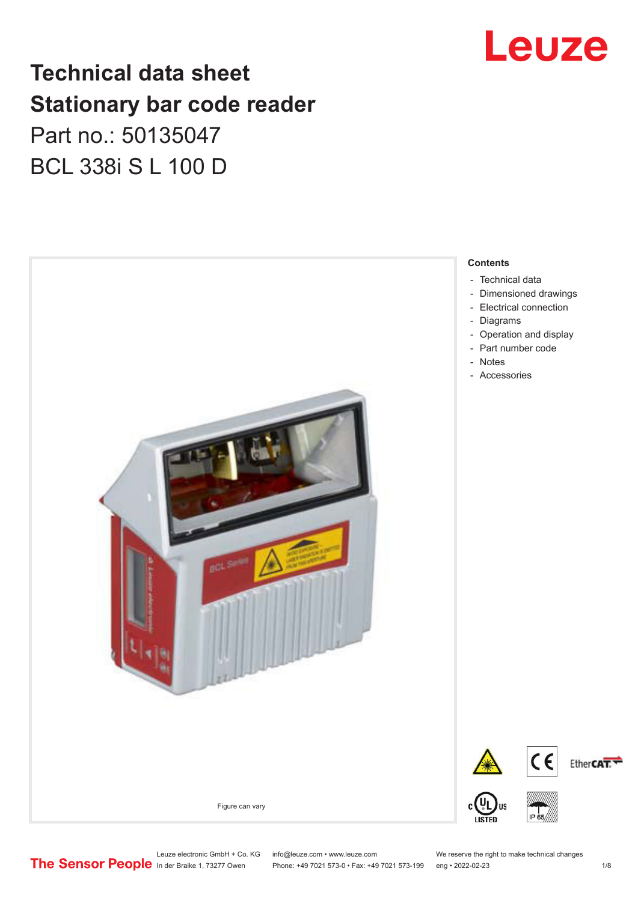# Leuze

# **Technical data sheet Stationary bar code reader** Part no.: 50135047 BCL 338i S L 100 D



Leuze electronic GmbH + Co. KG info@leuze.com • www.leuze.com We reserve the right to make technical changes<br>
The Sensor People in der Braike 1, 73277 Owen Phone: +49 7021 573-0 • Fax: +49 7021 573-199 eng • 2022-02-23

Phone: +49 7021 573-0 • Fax: +49 7021 573-199 eng • 2022-02-23 1 /8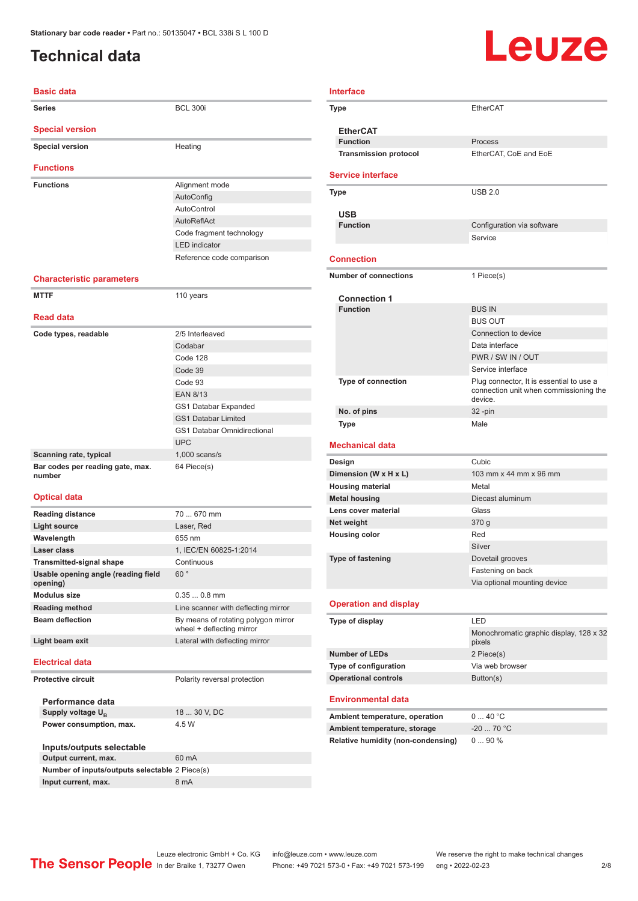# <span id="page-1-0"></span>**Technical data**

# Leuze

| <b>Basic data</b>                               |                                                                  |
|-------------------------------------------------|------------------------------------------------------------------|
| <b>Series</b>                                   | <b>BCL 300i</b>                                                  |
| <b>Special version</b>                          |                                                                  |
| <b>Special version</b>                          | Heating                                                          |
| <b>Functions</b>                                |                                                                  |
| <b>Functions</b>                                | Alignment mode                                                   |
|                                                 | AutoConfig                                                       |
|                                                 | AutoControl                                                      |
|                                                 | AutoReflAct                                                      |
|                                                 | Code fragment technology                                         |
|                                                 | <b>LED</b> indicator                                             |
|                                                 | Reference code comparison                                        |
| <b>Characteristic parameters</b>                |                                                                  |
| <b>MTTF</b>                                     | 110 years                                                        |
| <b>Read data</b>                                |                                                                  |
| Code types, readable                            | 2/5 Interleaved                                                  |
|                                                 | Codabar                                                          |
|                                                 | Code 128                                                         |
|                                                 | Code 39                                                          |
|                                                 | Code 93                                                          |
|                                                 | <b>EAN 8/13</b>                                                  |
|                                                 | GS1 Databar Expanded                                             |
|                                                 | <b>GS1 Databar Limited</b>                                       |
|                                                 | <b>GS1 Databar Omnidirectional</b>                               |
|                                                 | <b>UPC</b>                                                       |
| Scanning rate, typical                          | $1,000$ scans/s                                                  |
| Bar codes per reading gate, max.<br>number      | 64 Piece(s)                                                      |
| <b>Optical data</b>                             |                                                                  |
| <b>Reading distance</b>                         | 70  670 mm                                                       |
| <b>Light source</b>                             | Laser, Red                                                       |
| Wavelength                                      | 655 nm                                                           |
| Laser class                                     | 1, IEC/EN 60825-1:2014                                           |
| Transmitted-signal shape                        | Continuous                                                       |
| Usable opening angle (reading field<br>opening) | 60°                                                              |
| <b>Modulus size</b>                             | $0.350.8$ mm                                                     |
| <b>Reading method</b>                           | Line scanner with deflecting mirror                              |
| <b>Beam deflection</b>                          | By means of rotating polygon mirror<br>wheel + deflecting mirror |
| Light beam exit                                 | Lateral with deflecting mirror                                   |
| <b>Electrical data</b>                          |                                                                  |
| <b>Protective circuit</b>                       | Polarity reversal protection                                     |
| Performance data                                |                                                                  |
| Supply voltage U <sub>B</sub>                   | 18  30 V, DC                                                     |
| Power consumption, max.                         | 4.5 W                                                            |
| Inputs/outputs selectable                       |                                                                  |
| Output current, max.                            | 60 mA                                                            |
| Number of inputs/outputs selectable 2 Piece(s)  |                                                                  |
|                                                 |                                                                  |

| <b>Interface</b> |                                                      |                                                   |  |
|------------------|------------------------------------------------------|---------------------------------------------------|--|
|                  | Type                                                 | <b>EtherCAT</b>                                   |  |
|                  |                                                      |                                                   |  |
|                  | <b>EtherCAT</b><br><b>Function</b>                   | Process                                           |  |
|                  | <b>Transmission protocol</b>                         | EtherCAT, CoE and EoE                             |  |
|                  |                                                      |                                                   |  |
|                  | <b>Service interface</b>                             |                                                   |  |
|                  | <b>Type</b>                                          | <b>USB 2.0</b>                                    |  |
|                  |                                                      |                                                   |  |
|                  | <b>USB</b><br><b>Function</b>                        |                                                   |  |
|                  |                                                      | Configuration via software<br>Service             |  |
|                  |                                                      |                                                   |  |
|                  | <b>Connection</b>                                    |                                                   |  |
|                  | <b>Number of connections</b>                         | 1 Piece(s)                                        |  |
|                  |                                                      |                                                   |  |
|                  | <b>Connection 1</b><br><b>Function</b>               |                                                   |  |
|                  |                                                      | <b>BUS IN</b><br><b>BUS OUT</b>                   |  |
|                  |                                                      | Connection to device                              |  |
|                  |                                                      | Data interface                                    |  |
|                  |                                                      | PWR / SW IN / OUT                                 |  |
|                  |                                                      | Service interface                                 |  |
|                  | Type of connection                                   | Plug connector, It is essential to use a          |  |
|                  |                                                      | connection unit when commissioning the<br>device. |  |
|                  | No. of pins                                          | $32 - pin$                                        |  |
|                  | Type                                                 | Male                                              |  |
|                  |                                                      |                                                   |  |
|                  | <b>Mechanical data</b>                               |                                                   |  |
|                  | Design                                               | Cubic                                             |  |
|                  | Dimension (W x H x L)                                | 103 mm x 44 mm x 96 mm<br>Metal                   |  |
|                  | <b>Housing material</b><br><b>Metal housing</b>      | Diecast aluminum                                  |  |
|                  | Lens cover material                                  | Glass                                             |  |
|                  | Net weight                                           | 370 g                                             |  |
|                  | <b>Housing color</b>                                 | Red                                               |  |
|                  |                                                      | Silver                                            |  |
|                  | <b>Type of fastening</b>                             | Dovetail grooves                                  |  |
|                  |                                                      | Fastening on back                                 |  |
|                  |                                                      | Via optional mounting device                      |  |
|                  | <b>Operation and display</b>                         |                                                   |  |
|                  | Type of display                                      | LED                                               |  |
|                  |                                                      | Monochromatic graphic display, 128 x 32           |  |
|                  |                                                      | pixels                                            |  |
|                  | <b>Number of LEDs</b>                                | 2 Piece(s)                                        |  |
|                  | Type of configuration<br><b>Operational controls</b> | Via web browser<br>Button(s)                      |  |
|                  |                                                      |                                                   |  |
|                  | <b>Environmental data</b>                            |                                                   |  |
|                  | Ambient temperature, operation                       | 040 °C                                            |  |
|                  | Ambient temperature, storage                         | $-20$ 70 $^{\circ}$ C                             |  |
|                  | Relative humidity (non-condensing)                   | 090%                                              |  |
|                  |                                                      |                                                   |  |
|                  |                                                      |                                                   |  |
|                  |                                                      |                                                   |  |
|                  |                                                      |                                                   |  |

Leuze electronic GmbH + Co. KG info@leuze.com • www.leuze.com We reserve the right to make technical changes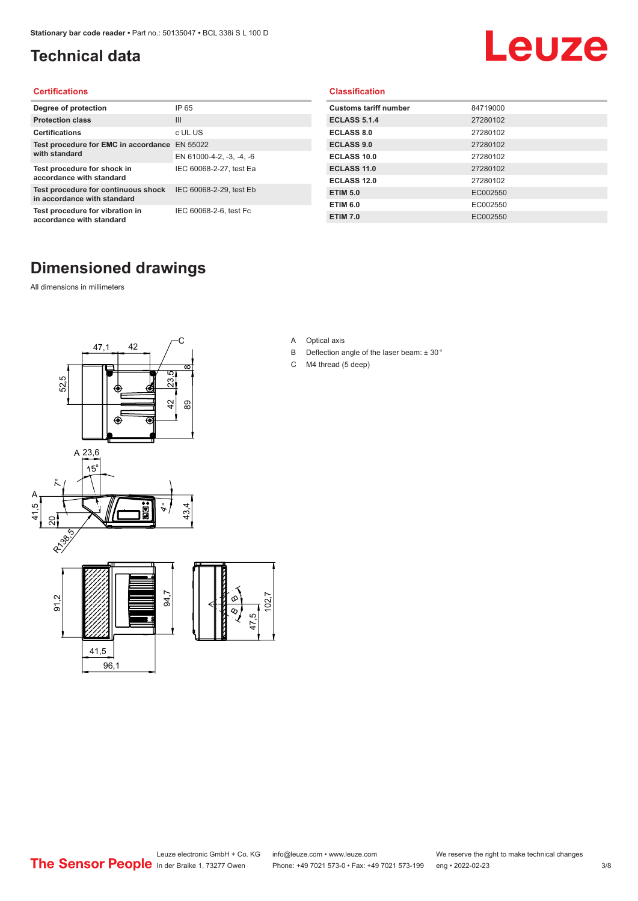# <span id="page-2-0"></span>**Technical data**

# Leuze

#### **Certifications**

| Degree of protection                                               | IP 65                    |
|--------------------------------------------------------------------|--------------------------|
| <b>Protection class</b>                                            | Ш                        |
| <b>Certifications</b>                                              | c UL US                  |
| Test procedure for EMC in accordance EN 55022                      |                          |
| with standard                                                      | EN 61000-4-2, -3, -4, -6 |
| Test procedure for shock in<br>accordance with standard            | IEC 60068-2-27, test Ea  |
| Test procedure for continuous shock<br>in accordance with standard | IEC 60068-2-29, test Eb  |
| Test procedure for vibration in<br>accordance with standard        | IEC 60068-2-6, test Fc   |

#### **Classification**

| <b>Customs tariff number</b> | 84719000 |
|------------------------------|----------|
| <b>ECLASS 5.1.4</b>          | 27280102 |
| <b>ECLASS 8.0</b>            | 27280102 |
| <b>ECLASS 9.0</b>            | 27280102 |
| ECLASS 10.0                  | 27280102 |
| <b>ECLASS 11.0</b>           | 27280102 |
| ECLASS 12.0                  | 27280102 |
| <b>ETIM 5.0</b>              | EC002550 |
| <b>ETIM 6.0</b>              | EC002550 |
| <b>ETIM 7.0</b>              | EC002550 |

# **Dimensioned drawings**

All dimensions in millimeters



- A Optical axis
- B Deflection angle of the laser beam: ± 30 °
- C M4 thread (5 deep)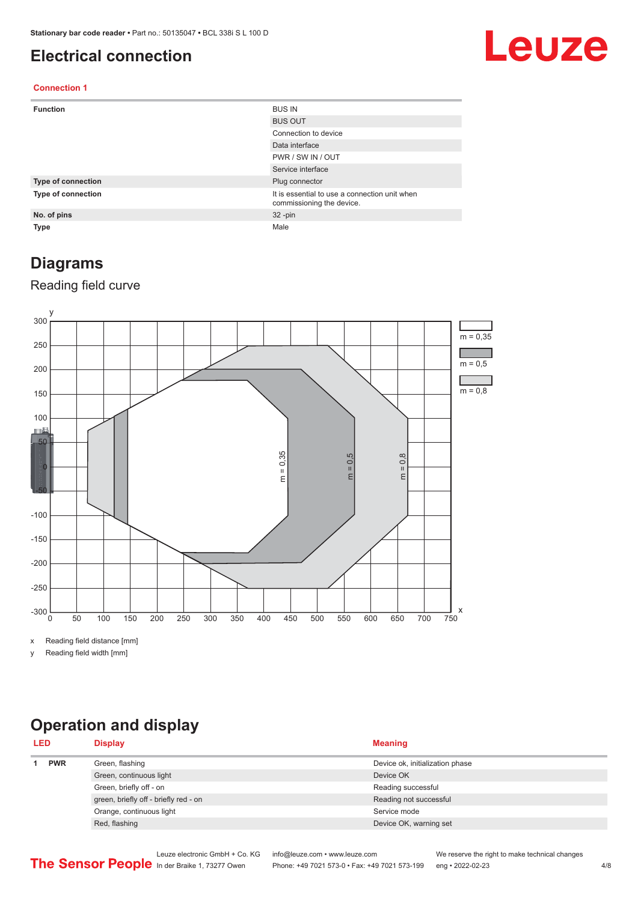## <span id="page-3-0"></span>**Electrical connection**

# Leuze

#### **Connection 1**

| <b>Function</b>    | <b>BUS IN</b>                                                              |
|--------------------|----------------------------------------------------------------------------|
|                    | <b>BUS OUT</b>                                                             |
|                    | Connection to device                                                       |
|                    | Data interface                                                             |
|                    | PWR / SW IN / OUT                                                          |
|                    | Service interface                                                          |
| Type of connection | Plug connector                                                             |
| Type of connection | It is essential to use a connection unit when<br>commissioning the device. |
| No. of pins        | $32 - pin$                                                                 |
| <b>Type</b>        | Male                                                                       |

# **Diagrams**

#### Reading field curve



x Reading field distance [mm]

y Reading field width [mm]

# **Operation and display**

| <b>LED</b> |  | <b>Display</b>                        | <b>Meaning</b>                  |
|------------|--|---------------------------------------|---------------------------------|
| <b>PWR</b> |  | Green, flashing                       | Device ok, initialization phase |
|            |  | Green, continuous light               | Device OK                       |
|            |  | Green, briefly off - on               | Reading successful              |
|            |  | green, briefly off - briefly red - on | Reading not successful          |
|            |  | Orange, continuous light              | Service mode                    |
|            |  | Red, flashing                         | Device OK, warning set          |
|            |  |                                       |                                 |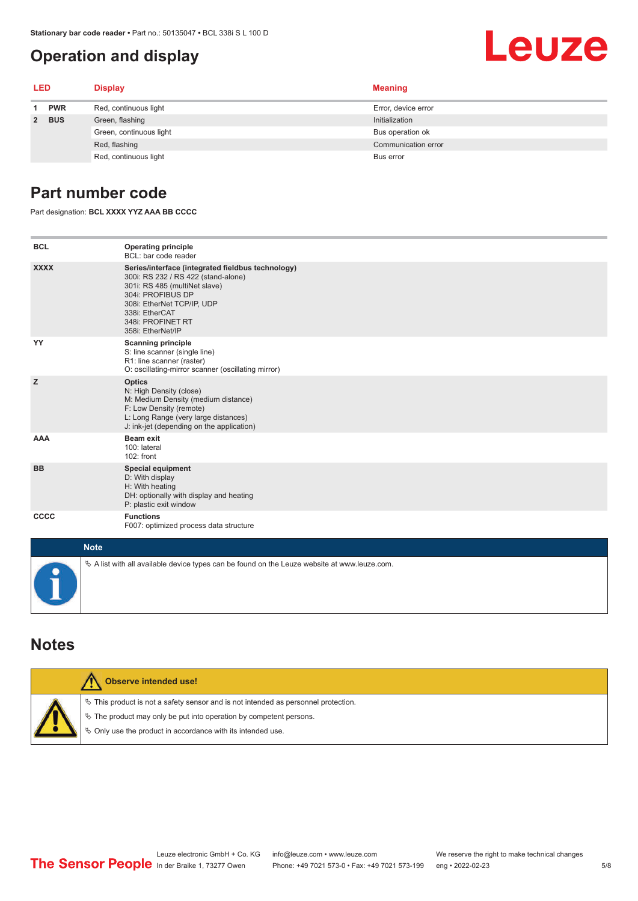# <span id="page-4-0"></span>**Operation and display**

# Leuze

| <b>LED</b> |            | <b>Display</b>          | <b>Meaning</b>      |
|------------|------------|-------------------------|---------------------|
|            | <b>PWR</b> | Red, continuous light   | Error, device error |
|            | 2 BUS      | Green, flashing         | Initialization      |
|            |            | Green, continuous light | Bus operation ok    |
|            |            | Red, flashing           | Communication error |
|            |            | Red, continuous light   | Bus error           |

## **Part number code**

Part designation: **BCL XXXX YYZ AAA BB CCCC**

| <b>BCL</b>  | <b>Operating principle</b><br>BCL: bar code reader                                                                                                                                                                                       |
|-------------|------------------------------------------------------------------------------------------------------------------------------------------------------------------------------------------------------------------------------------------|
| <b>XXXX</b> | Series/interface (integrated fieldbus technology)<br>300i: RS 232 / RS 422 (stand-alone)<br>301i: RS 485 (multiNet slave)<br>304i: PROFIBUS DP<br>308i: EtherNet TCP/IP, UDP<br>338i: EtherCAT<br>348i: PROFINET RT<br>358i: EtherNet/IP |
| YY          | <b>Scanning principle</b><br>S: line scanner (single line)<br>R1: line scanner (raster)<br>O: oscillating-mirror scanner (oscillating mirror)                                                                                            |
| z           | <b>Optics</b><br>N: High Density (close)<br>M: Medium Density (medium distance)<br>F: Low Density (remote)<br>L: Long Range (very large distances)<br>J: ink-jet (depending on the application)                                          |
| <b>AAA</b>  | <b>Beam exit</b><br>100: lateral<br>$102:$ front                                                                                                                                                                                         |
| <b>BB</b>   | <b>Special equipment</b><br>D: With display<br>H: With heating<br>DH: optionally with display and heating<br>P: plastic exit window                                                                                                      |
| <b>CCCC</b> | <b>Functions</b><br>F007: optimized process data structure                                                                                                                                                                               |
| <b>Note</b> |                                                                                                                                                                                                                                          |
|             | $\&$ A list with all available device types can be found on the Leuze website at www.leuze.com.                                                                                                                                          |

## **Notes**

| Observe intended use!                                                                                                                                                                                                         |
|-------------------------------------------------------------------------------------------------------------------------------------------------------------------------------------------------------------------------------|
| $\%$ This product is not a safety sensor and is not intended as personnel protection.<br>$\&$ The product may only be put into operation by competent persons.<br>♦ Only use the product in accordance with its intended use. |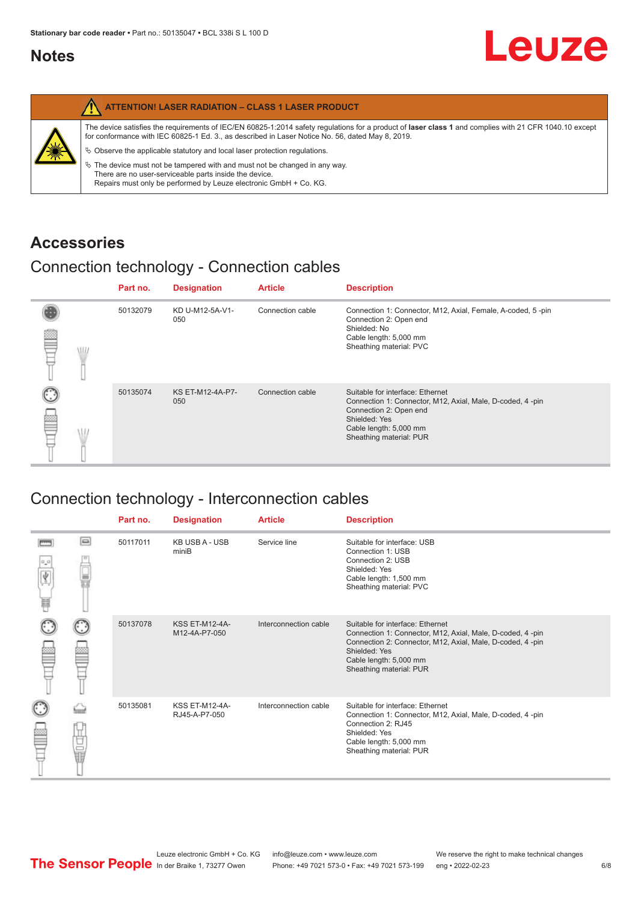# <span id="page-5-0"></span>**Notes**

| The device satisfies the requirements of IEC/EN 60825-1:2014 safety regulations for a product of laser class 1 and complies with 21 CFR 1040.10 except<br>for conformance with IEC 60825-1 Ed. 3., as described in Laser Notice No. 56, dated May 8, 2019.<br>纂<br>$\%$ Observe the applicable statutory and local laser protection regulations.<br>$\%$ The device must not be tampered with and must not be changed in any way.<br>There are no user-serviceable parts inside the device.<br>Repairs must only be performed by Leuze electronic GmbH + Co. KG. | <b>ATTENTION! LASER RADIATION - CLASS 1 LASER PRODUCT</b> |
|------------------------------------------------------------------------------------------------------------------------------------------------------------------------------------------------------------------------------------------------------------------------------------------------------------------------------------------------------------------------------------------------------------------------------------------------------------------------------------------------------------------------------------------------------------------|-----------------------------------------------------------|
|                                                                                                                                                                                                                                                                                                                                                                                                                                                                                                                                                                  |                                                           |

# **Accessories**

# Connection technology - Connection cables

|   | Part no. | <b>Designation</b>      | <b>Article</b>   | <b>Description</b>                                                                                                                                                                            |
|---|----------|-------------------------|------------------|-----------------------------------------------------------------------------------------------------------------------------------------------------------------------------------------------|
| m | 50132079 | KD U-M12-5A-V1-<br>050  | Connection cable | Connection 1: Connector, M12, Axial, Female, A-coded, 5-pin<br>Connection 2: Open end<br>Shielded: No<br>Cable length: 5,000 mm<br>Sheathing material: PVC                                    |
|   | 50135074 | KS ET-M12-4A-P7-<br>050 | Connection cable | Suitable for interface: Ethernet<br>Connection 1: Connector, M12, Axial, Male, D-coded, 4-pin<br>Connection 2: Open end<br>Shielded: Yes<br>Cable length: 5,000 mm<br>Sheathing material: PUR |

# Connection technology - Interconnection cables

|   |        | Part no. | <b>Designation</b>                     | <b>Article</b>        | <b>Description</b>                                                                                                                                                                                                               |
|---|--------|----------|----------------------------------------|-----------------------|----------------------------------------------------------------------------------------------------------------------------------------------------------------------------------------------------------------------------------|
| ₩ | e      | 50117011 | <b>KB USB A - USB</b><br>miniB         | Service line          | Suitable for interface: USB<br>Connection 1: USB<br>Connection 2: USB<br>Shielded: Yes<br>Cable length: 1,500 mm<br>Sheathing material: PVC                                                                                      |
|   |        | 50137078 | <b>KSS ET-M12-4A-</b><br>M12-4A-P7-050 | Interconnection cable | Suitable for interface: Ethernet<br>Connection 1: Connector, M12, Axial, Male, D-coded, 4-pin<br>Connection 2: Connector, M12, Axial, Male, D-coded, 4-pin<br>Shielded: Yes<br>Cable length: 5,000 mm<br>Sheathing material: PUR |
|   | Ù<br>U | 50135081 | <b>KSS ET-M12-4A-</b><br>RJ45-A-P7-050 | Interconnection cable | Suitable for interface: Ethernet<br>Connection 1: Connector, M12, Axial, Male, D-coded, 4-pin<br>Connection 2: RJ45<br>Shielded: Yes<br>Cable length: 5,000 mm<br>Sheathing material: PUR                                        |

Leuze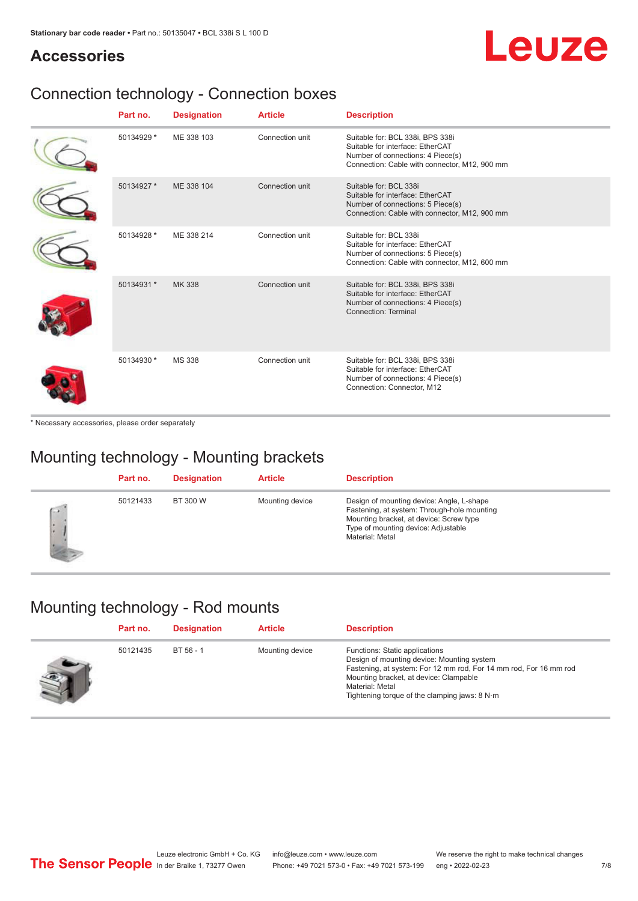# Leuze

# **Accessories**

# Connection technology - Connection boxes

| Part no.   | <b>Designation</b> | <b>Article</b>  | <b>Description</b>                                                                                                                                         |
|------------|--------------------|-----------------|------------------------------------------------------------------------------------------------------------------------------------------------------------|
| 50134929 * | ME 338 103         | Connection unit | Suitable for: BCL 338i, BPS 338i<br>Suitable for interface: EtherCAT<br>Number of connections: 4 Piece(s)<br>Connection: Cable with connector, M12, 900 mm |
| 50134927 * | ME 338 104         | Connection unit | Suitable for: BCL 338i<br>Suitable for interface: EtherCAT<br>Number of connections: 5 Piece(s)<br>Connection: Cable with connector, M12, 900 mm           |
| 50134928 * | ME 338 214         | Connection unit | Suitable for: BCL 338i<br>Suitable for interface: EtherCAT<br>Number of connections: 5 Piece(s)<br>Connection: Cable with connector, M12, 600 mm           |
| 50134931 * | MK 338             | Connection unit | Suitable for: BCL 338i, BPS 338i<br>Suitable for interface: EtherCAT<br>Number of connections: 4 Piece(s)<br>Connection: Terminal                          |
| 50134930 * | <b>MS 338</b>      | Connection unit | Suitable for: BCL 338i, BPS 338i<br>Suitable for interface: EtherCAT<br>Number of connections: 4 Piece(s)<br>Connection: Connector, M12                    |

\* Necessary accessories, please order separately

# Mounting technology - Mounting brackets

|        | Part no. | <b>Designation</b> | <b>Article</b>  | <b>Description</b>                                                                                                                                                                            |
|--------|----------|--------------------|-----------------|-----------------------------------------------------------------------------------------------------------------------------------------------------------------------------------------------|
| œ<br>٠ | 50121433 | BT 300 W           | Mounting device | Design of mounting device: Angle, L-shape<br>Fastening, at system: Through-hole mounting<br>Mounting bracket, at device: Screw type<br>Type of mounting device: Adjustable<br>Material: Metal |

# Mounting technology - Rod mounts

| Part no. | <b>Designation</b> | <b>Article</b>  | <b>Description</b>                                                                                                                                                                                                                                                |
|----------|--------------------|-----------------|-------------------------------------------------------------------------------------------------------------------------------------------------------------------------------------------------------------------------------------------------------------------|
| 50121435 | BT 56 - 1          | Mounting device | Functions: Static applications<br>Design of mounting device: Mounting system<br>Fastening, at system: For 12 mm rod, For 14 mm rod, For 16 mm rod<br>Mounting bracket, at device: Clampable<br>Material: Metal<br>Tightening torque of the clamping jaws: $8 N·m$ |